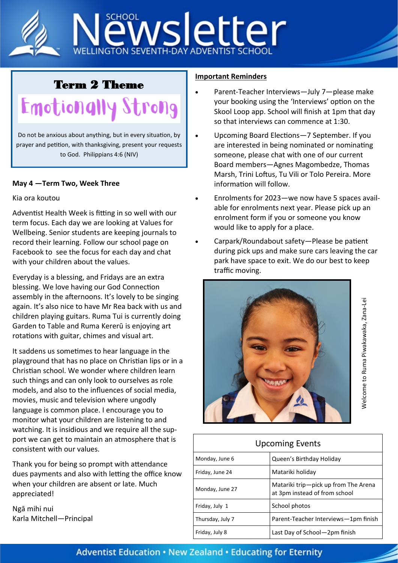

## Term 2 Theme

Emotionally Strong

Do not be anxious about anything, but in every situation, by prayer and petition, with thanksgiving, present your requests to God. Philippians 4:6 (NIV)

## **May 4 —Term Two, Week Three**

## Kia ora koutou

Adventist Health Week is fitting in so well with our term focus. Each day we are looking at Values for Wellbeing. Senior students are keeping journals to record their learning. Follow our school page on Facebook to see the focus for each day and chat with your children about the values.

Everyday is a blessing, and Fridays are an extra blessing. We love having our God Connection assembly in the afternoons. It's lovely to be singing again. It's also nice to have Mr Rea back with us and children playing guitars. Ruma Tui is currently doing Garden to Table and Ruma Kererū is enjoying art rotations with guitar, chimes and visual art.

It saddens us sometimes to hear language in the playground that has no place on Christian lips or in a Christian school. We wonder where children learn such things and can only look to ourselves as role models, and also to the influences of social media, movies, music and television where ungodly language is common place. I encourage you to monitor what your children are listening to and watching. It is insidious and we require all the support we can get to maintain an atmosphere that is consistent with our values.

Thank you for being so prompt with attendance dues payments and also with letting the office know when your children are absent or late. Much appreciated!

Ngā mihi nui Karla Mitchell—Principal

## **Important Reminders**

- Parent-Teacher Interviews—July 7—please make your booking using the 'Interviews' option on the Skool Loop app. School will finish at 1pm that day so that interviews can commence at 1:30.
- Upcoming Board Elections—7 September. If you are interested in being nominated or nominating someone, please chat with one of our current Board members—Agnes Magombedze, Thomas Marsh, Trini Loftus, Tu Vili or Tolo Pereira. More information will follow.
- Enrolments for 2023—we now have 5 spaces available for enrolments next year. Please pick up an enrolment form if you or someone you know would like to apply for a place.
- Carpark/Roundabout safety—Please be patient during pick ups and make sure cars leaving the car park have space to exit. We do our best to keep traffic moving.



| <b>Upcoming Events</b> |                                                                       |
|------------------------|-----------------------------------------------------------------------|
| Monday, June 6         | Queen's Birthday Holiday                                              |
| Friday, June 24        | Matariki holiday                                                      |
| Monday, June 27        | Matariki trip—pick up from The Arena<br>at 3pm instead of from school |
| Friday, July 1         | School photos                                                         |
| Thursday, July 7       | Parent-Teacher Interviews-1pm finish                                  |

Friday, July 8 **Last Day of School**—2pm finish